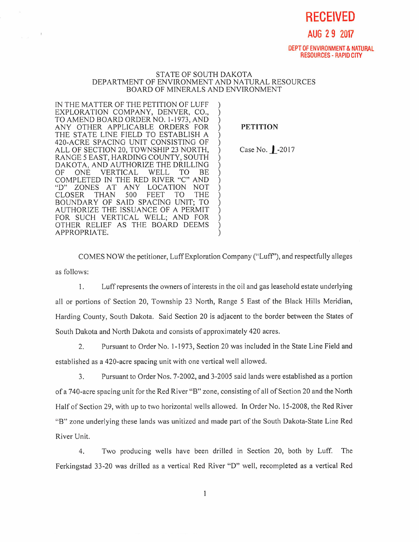**RECEIVED** 

**AUG 2 9 2017** 

DEPT OF ENVIRONMENT & NATURAL RESOURCES - RAPID CITY

## STATE OF SOUTH DAKOTA DEPARTMENT OF ENVIRONMENT AND NATURAL RESOURCES BOARD OF MINERALS AND ENVIRONMENT

IN THE MATTER OF THE PETITION OF LUFF EXPLORATION COMPANY, DENVER, CO., TO AMEND BOARD ORDER NO, 1-1973, AND ANY OTHER APPLICABLE ORDERS FOR THE STATE LINE FIELD TO ESTABLISH A 420-ACRE SPACING UNIT CONSISTING OF ALL OF SECTION 20, TOWNSHIP 23 NORTH, RANGE 5 EAST, HARDING COUNTY, SOUTH DAKOTA, AND AUTHORIZE THE DRILLING<br>OF ONE VERTICAL WELL TO BE OF ONE VERTICAL WELL TO BE COMPLETED IN THE RED RIVER "C" AND "D" ZONES AT ANY LOCATION NOT<br>CLOSER THAN 500 FEET TO THE CLOSER THAN 500 FEET TO THE BOUNDARY OF SAID SPACING UNIT; TO AUTHORIZE THE ISSUANCE OF A PERMIT FOR SUCH VERTICAL WELL; AND FOR OTHER RELIEF AS THE BOARD DEEMS APPROPRIATE.

## PETITION

Case No. | -2017

COMES NOW the petitioner, Luff Exploration Company ("Luff"), and respectfully alleges as follows:

1. Luff represents the owners of interests in the oil and gas leasehold estate underlying all or portions of Section 20, Township 23 North, Range 5 East of the Black Hills Meridian, Harding County, South Dakota. Said Section 20 is adjacent to the border between the States of South Dakota and North Dakota and consists of approximately 420 acres.

2. Pursuant to Order No. 1-1973, Section 20 was included in the State Line Field and established as a 420-acre spacing unit with one vertical well allowed.

3. Pursuant to Order Nos. 7-2002, and 3-2005 said lands were established as a portion of a 740-acre spacing unit for the Red River "B" zone, consisting of all of Section 20 and the North Half of Section 29, with up to two horizontal wells allowed. In Order No. 15-2008, the Red River "B" zone underlying these lands was unitized and made part of the South Dakota-State Line Red River Unit.

4. Two producing wells have been drilled in Section 20, both by Luff. The Ferkingstad 33-20 was drilled as a vertical Red River "D" well, recompleted as a vertical Red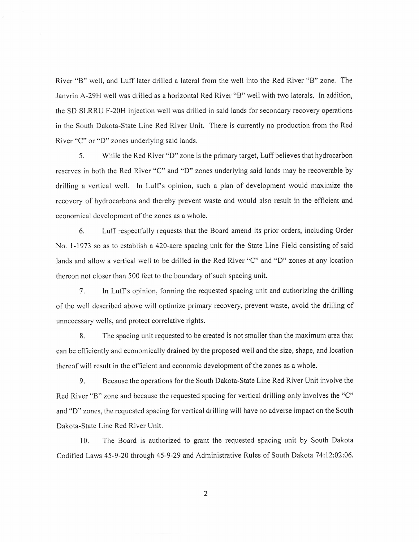River "B" well, and Luff later drilled a lateral from the well into the Red River "B" zone. The Janvrin A-29H well was drilled as a horizontal Red River "B" well with two laterals. In addition, the SD SLRRU F-20H injection well was drilled in said lands for secondary recovery operations in the South Dakota-State Line Red River Unit. There is currently no production from the Red River "C" or "D" zones underlying said lands.

5. While the Red River "D" zone is the primary target, Luff believes that hydrocarbon reserves in both the Red River "C" and "D" zones underlying said lands may be recoverable by drilling a vertical well. In Luff's opinion, such a plan of development would maximize the recovery of hydrocarbons and thereby prevent waste and would also result in the efficient and economical development of the zones as a whole.

6. Luff respectfully requests that the Board amend its prior orders, including Order No. 1-1973 so as to establish a 420-acre spacing unit for the State Line Field consisting of said lands and allow a vertical well to be drilled in the Red River "C" and "D" zones at any location thereon not closer than 500 feet to the boundary of such spacing unit.

7. In Luff's opinion, forming the requested spacing unit and authorizing the drilling of the well described above will optimize primary recovery, prevent waste, avoid the drilling of unnecessary wells, and protect correlative rights.

8. The spacing unit requested to be created is not smaller than the maximum area that can be efficiently and economically drained by the proposed well and the size, shape, and location thereof will result in the efficient and economic development of the zones as a whole.

9. Because the operations for the South Dakota-State Line Red River Unit involve the Red River "B" zone and because the requested spacing for vertical drilling only involves the "C" and "D" zones, the requested spacing for vertical drilling will have no adverse impact on the South Dakota-State Line Red River Unit.

10. The Board is authorized to grant the requested spacing unit by South Dakota Codified Laws 45-9-20 through 45-9-29 and Administrative Rules of South Dakota 74:12:02:06.

2